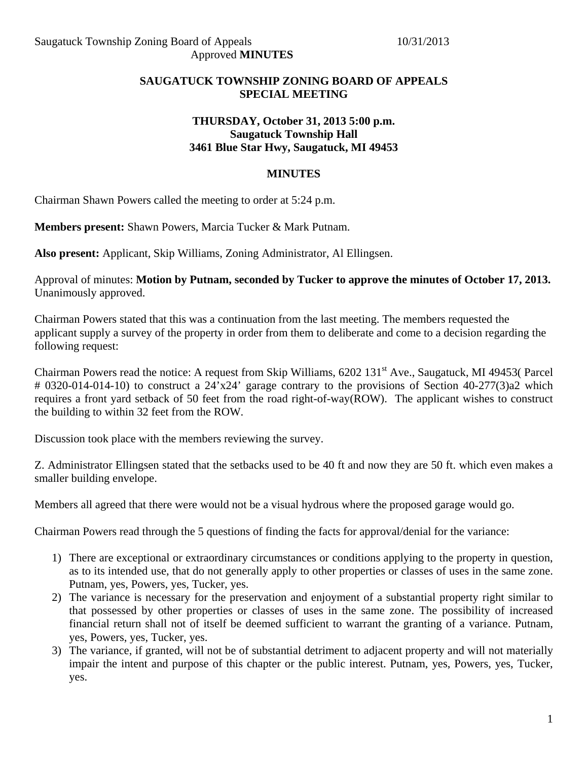## **SAUGATUCK TOWNSHIP ZONING BOARD OF APPEALS SPECIAL MEETING**

### **THURSDAY, October 31, 2013 5:00 p.m. Saugatuck Township Hall 3461 Blue Star Hwy, Saugatuck, MI 49453**

### **MINUTES**

Chairman Shawn Powers called the meeting to order at 5:24 p.m.

**Members present:** Shawn Powers, Marcia Tucker & Mark Putnam.

**Also present:** Applicant, Skip Williams, Zoning Administrator, Al Ellingsen.

Approval of minutes: **Motion by Putnam, seconded by Tucker to approve the minutes of October 17, 2013.**  Unanimously approved.

Chairman Powers stated that this was a continuation from the last meeting. The members requested the applicant supply a survey of the property in order from them to deliberate and come to a decision regarding the following request:

Chairman Powers read the notice: A request from Skip Williams, 6202 131<sup>st</sup> Ave., Saugatuck, MI 49453( Parcel # 0320-014-014-10) to construct a 24'x24' garage contrary to the provisions of Section 40-277(3)a2 which requires a front yard setback of 50 feet from the road right-of-way(ROW). The applicant wishes to construct the building to within 32 feet from the ROW.

Discussion took place with the members reviewing the survey.

Z. Administrator Ellingsen stated that the setbacks used to be 40 ft and now they are 50 ft. which even makes a smaller building envelope.

Members all agreed that there were would not be a visual hydrous where the proposed garage would go.

Chairman Powers read through the 5 questions of finding the facts for approval/denial for the variance:

- 1) There are exceptional or extraordinary circumstances or conditions applying to the property in question, as to its intended use, that do not generally apply to other properties or classes of uses in the same zone. Putnam, yes, Powers, yes, Tucker, yes.
- 2) The variance is necessary for the preservation and enjoyment of a substantial property right similar to that possessed by other properties or classes of uses in the same zone. The possibility of increased financial return shall not of itself be deemed sufficient to warrant the granting of a variance. Putnam, yes, Powers, yes, Tucker, yes.
- 3) The variance, if granted, will not be of substantial detriment to adjacent property and will not materially impair the intent and purpose of this chapter or the public interest. Putnam, yes, Powers, yes, Tucker, yes.